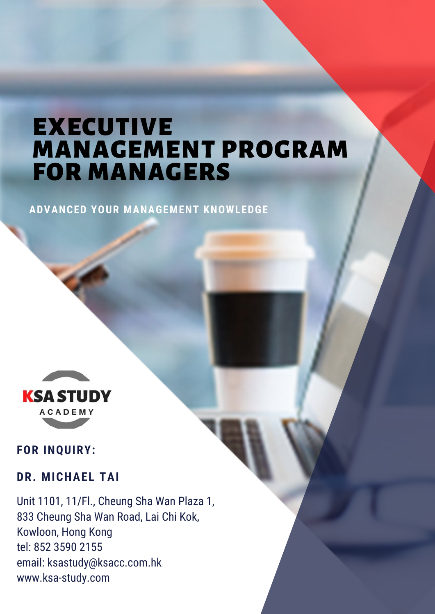# EXECUTIVE MANAGEMENT PROGRAM FOR MANAGERS

**ADVANCED YOUR MANAGEMENT KNOWLEDGE**



#### **FOR INQUIRY:**

#### **DR. MICHAEL TAI**

Unit 1101, 11/Fl., Cheung Sha Wan Plaza 1, 833 Cheung Sha Wan Road, Lai Chi Kok, Kowloon, Hong Kong tel: 852 3590 2155 email: ksastudy@ksacc.com.hk www.ksa-study.com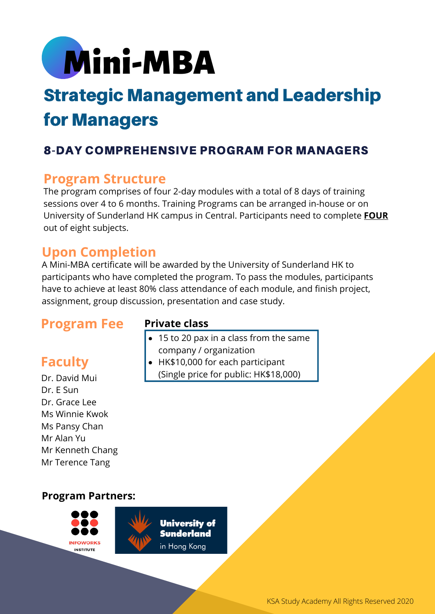

# Strategic Management and Leadership for Managers

## 8-DAY COMPREHENSIVE PROGRAM FOR MANAGERS

### **Program Structure**

The program comprises of four 2-day modules with a total of 8 days of training sessions over 4 to 6 months. Training Programs can be arranged in-house or on University of Sunderland HK campus in Central. Participants need to complete **FOUR** out of eight subjects.

## **Upon Completion**

A Mini-MBA certificate will be awarded by the University of Sunderland HK to participants who have completed the program. To pass the modules, participants have to achieve at least 80% class attendance of each module, and finish project, assignment, group discussion, presentation and case study.

# **Program Fee**

# **Faculty**

Dr. David Mui Dr. E Sun Dr. Grace Lee Ms Winnie Kwok Ms Pansy Chan Mr Alan Yu Mr Kenneth Chang Mr Terence Tang

#### **Private class**

- 15 to 20 pax in a class from the same company / organization
- HK\$10,000 for each participant (Single price for public: HK\$18,000)

#### **Program Partners:**